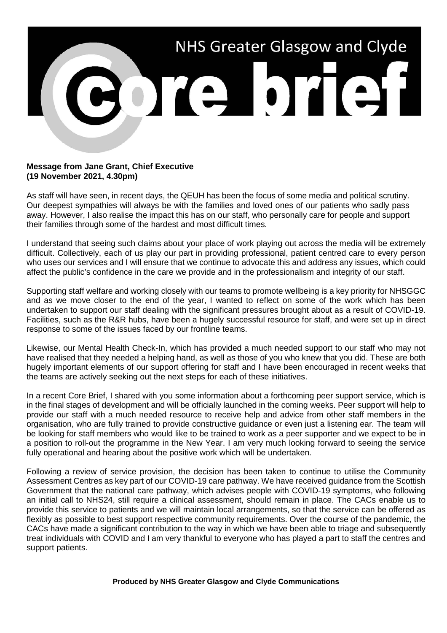

## **Message from Jane Grant, Chief Executive (19 November 2021, 4.30pm)**

As staff will have seen, in recent days, the QEUH has been the focus of some media and political scrutiny. Our deepest sympathies will always be with the families and loved ones of our patients who sadly pass away. However, I also realise the impact this has on our staff, who personally care for people and support their families through some of the hardest and most difficult times.

I understand that seeing such claims about your place of work playing out across the media will be extremely difficult. Collectively, each of us play our part in providing professional, patient centred care to every person who uses our services and I will ensure that we continue to advocate this and address any issues, which could affect the public's confidence in the care we provide and in the professionalism and integrity of our staff.

Supporting staff welfare and working closely with our teams to promote wellbeing is a key priority for NHSGGC and as we move closer to the end of the year, I wanted to reflect on some of the work which has been undertaken to support our staff dealing with the significant pressures brought about as a result of COVID-19. Facilities, such as the R&R hubs, have been a hugely successful resource for staff, and were set up in direct response to some of the issues faced by our frontline teams.

Likewise, our Mental Health Check-In, which has provided a much needed support to our staff who may not have realised that they needed a helping hand, as well as those of you who knew that you did. These are both hugely important elements of our support offering for staff and I have been encouraged in recent weeks that the teams are actively seeking out the next steps for each of these initiatives.

In a recent Core Brief, I shared with you some information about a forthcoming peer support service, which is in the final stages of development and will be officially launched in the coming weeks. Peer support will help to provide our staff with a much needed resource to receive help and advice from other staff members in the organisation, who are fully trained to provide constructive guidance or even just a listening ear. The team will be looking for staff members who would like to be trained to work as a peer supporter and we expect to be in a position to roll-out the programme in the New Year. I am very much looking forward to seeing the service fully operational and hearing about the positive work which will be undertaken.

Following a review of service provision, the decision has been taken to continue to utilise the Community Assessment Centres as key part of our COVID-19 care pathway. We have received guidance from the Scottish Government that the national care pathway, which advises people with COVID-19 symptoms, who following an initial call to NHS24, still require a clinical assessment, should remain in place. The CACs enable us to provide this service to patients and we will maintain local arrangements, so that the service can be offered as flexibly as possible to best support respective community requirements. Over the course of the pandemic, the CACs have made a significant contribution to the way in which we have been able to triage and subsequently treat individuals with COVID and I am very thankful to everyone who has played a part to staff the centres and support patients.